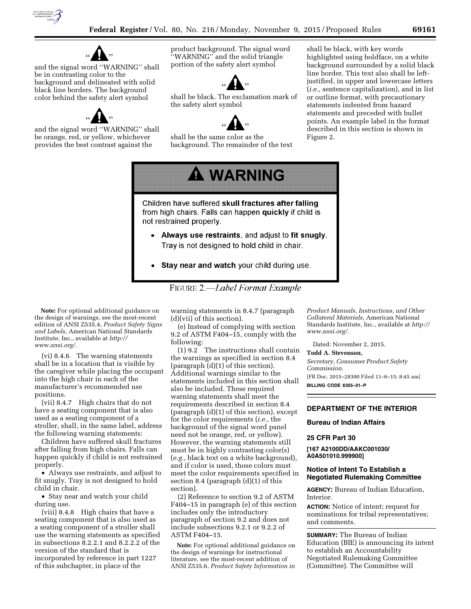

and the signal word ''WARNING'' shall be in contrasting color to the background and delineated with solid black line borders. The background color behind the safety alert symbol



and the signal word ''WARNING'' shall be orange, red, or yellow, whichever provides the best contrast against the

product background. The signal word ''WARNING'' and the solid triangle portion of the safety alert symbol



shall be black. The exclamation mark of the safety alert symbol



shall be the same color as the background. The remainder of the text

shall be black, with key words highlighted using boldface, on a white background surrounded by a solid black line border. This text also shall be leftjustified, in upper and lowercase letters (*i.e.,* sentence capitalization), and in list or outline format, with precautionary statements indented from hazard statements and preceded with bullet points. An example label in the format described in this section is shown in Figure 2.



Children have suffered skull fractures after falling from high chairs. Falls can happen quickly if child is not restrained properly.

- Always use restraints, and adjust to fit snugly. Tray is not designed to hold child in chair.
- Stay near and watch your child during use.



**Note:** For optional additional guidance on the design of warnings, see the most-recent edition of ANSI Z535.4, *Product Safety Signs and Labels,* American National Standards Institute, Inc., available at *[http://](http://www.ansi.org/) [www.ansi.org/.](http://www.ansi.org/)* 

(vi) 8.4.6 The warning statements shall be in a location that is visible by the caregiver while placing the occupant into the high chair in each of the manufacturer's recommended use positions.

(vii) 8.4.7 High chairs that do not have a seating component that is also used as a seating component of a stroller, shall, in the same label, address the following warning statements:

Children have suffered skull fractures after falling from high chairs. Falls can happen quickly if child is not restrained properly.

• Always use restraints, and adjust to fit snugly. Tray is not designed to hold child in chair.

• Stay near and watch your child during use.

(viii) 8.4.8 High chairs that have a seating component that is also used as a seating component of a stroller shall use the warning statements as specified in subsections 8.2.2.1 and 8.2.2.2 of the version of the standard that is incorporated by reference in part 1227 of this subchapter, in place of the

warning statements in 8.4.7 (paragraph (d)(vii) of this section).

(e) Instead of complying with section 9.2 of ASTM F404–15, comply with the following:

(1) 9.2 The instructions shall contain the warnings as specified in section 8.4 (paragraph (d)(1) of this section). Additional warnings similar to the statements included in this section shall also be included. These required warning statements shall meet the requirements described in section 8.4 (paragraph (d)(1) of this section), except for the color requirements (*i.e.,* the background of the signal word panel need not be orange, red, or yellow). However, the warning statements still must be in highly contrasting color(s) (*e.g.,* black text on a white background), and if color is used, those colors must meet the color requirements specified in section 8.4 (paragraph (d)(1) of this section).

(2) Reference to section 9.2 of ASTM F404–15 in paragraph (e) of this section includes only the introductory paragraph of section 9.2 and does not include subsections 9.2.1 or 9.2.2 of ASTM F404–15.

**Note:** For optional additional guidance on the design of warnings for instructional literature, see the most-recent addition of ANSI Z535.6, *Product Safety Information in* 

*Product Manuals, Instructions, and Other Collateral Materials,* American National Standards Institute, Inc., available at *[http://](http://www.ansi.org/)  [www.ansi.org/.](http://www.ansi.org/)* 

Dated: November 2, 2015.

**Todd A. Stevenson,** 

*Secretary, Consumer Product Safety Commission.* 

[FR Doc. 2015–28300 Filed 11–6–15; 8:45 am] **BILLING CODE 6355–01–P** 

## **DEPARTMENT OF THE INTERIOR**

## **Bureau of Indian Affairs**

## **25 CFR Part 30**

**[167 A2100DD/AAKC001030/ A0A501010.999900]** 

## **Notice of Intent To Establish a Negotiated Rulemaking Committee**

**AGENCY:** Bureau of Indian Education, Interior.

**ACTION:** Notice of intent; request for nominations for tribal representatives; and comments.

**SUMMARY:** The Bureau of Indian Education (BIE) is announcing its intent to establish an Accountability Negotiated Rulemaking Committee (Committee). The Committee will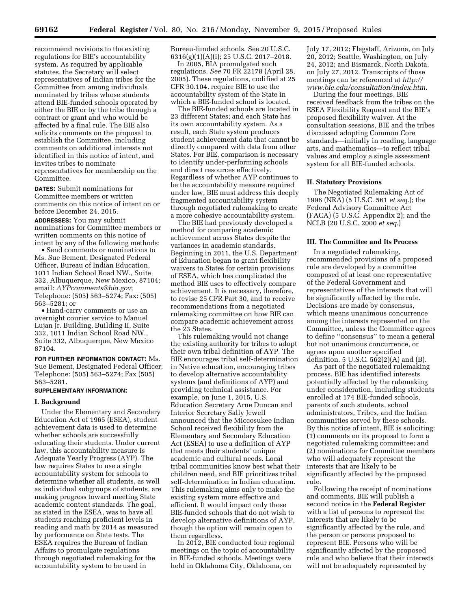recommend revisions to the existing regulations for BIE's accountability system. As required by applicable statutes, the Secretary will select representatives of Indian tribes for the Committee from among individuals nominated by tribes whose students attend BIE-funded schools operated by either the BIE or by the tribe through a contract or grant and who would be affected by a final rule. The BIE also solicits comments on the proposal to establish the Committee, including comments on additional interests not identified in this notice of intent, and invites tribes to nominate representatives for membership on the Committee.

**DATES:** Submit nominations for Committee members or written comments on this notice of intent on or before December 24, 2015.

**ADDRESSES:** You may submit nominations for Committee members or written comments on this notice of intent by any of the following methods:

• Send comments or nominations to Ms. Sue Bement, Designated Federal Officer, Bureau of Indian Education, 1011 Indian School Road NW., Suite 332, Albuquerque, New Mexico, 87104; email: *[AYPcomments@bia.gov](mailto:AYPcomments@bia.gov)*; Telephone: (505) 563–5274; Fax: (505) 563–5281; or

• Hand-carry comments or use an overnight courier service to Manuel Lujan Jr. Building, Building II, Suite 332, 1011 Indian School Road NW., Suite 332, Albuquerque, New Mexico 87104.

**FOR FURTHER INFORMATION CONTACT:** Ms. Sue Bement, Designated Federal Officer; Telephone: (505) 563–5274; Fax (505) 563–5281.

#### **SUPPLEMENTARY INFORMATION:**

#### **I. Background**

Under the Elementary and Secondary Education Act of 1965 (ESEA), student achievement data is used to determine whether schools are successfully educating their students. Under current law, this accountability measure is Adequate Yearly Progress (AYP). The law requires States to use a single accountability system for schools to determine whether all students, as well as individual subgroups of students, are making progress toward meeting State academic content standards. The goal, as stated in the ESEA, was to have all students reaching proficient levels in reading and math by 2014 as measured by performance on State tests. The ESEA requires the Bureau of Indian Affairs to promulgate regulations through negotiated rulemaking for the accountability system to be used in

Bureau-funded schools. See 20 U.S.C. 6316(g)(1)(A)(i); 25 U.S.C. 2017–2018.

In 2005, BIA promulgated such regulations. *See* 70 FR 22178 (April 28, 2005). These regulations, codified at 25 CFR 30.104, require BIE to use the accountability system of the State in which a BIE-funded school is located.

The BIE-funded schools are located in 23 different States; and each State has its own accountability system. As a result, each State system produces student achievement data that cannot be directly compared with data from other States. For BIE, comparison is necessary to identify under-performing schools and direct resources effectively. Regardless of whether AYP continues to be the accountability measure required under law, BIE must address this deeply fragmented accountability system through negotiated rulemaking to create a more cohesive accountability system.

The BIE had previously developed a method for comparing academic achievement across States despite the variances in academic standards. Beginning in 2011, the U.S. Department of Education began to grant flexibility waivers to States for certain provisions of ESEA, which has complicated the method BIE uses to effectively compare achievement. It is necessary, therefore, to revise 25 CFR Part 30, and to receive recommendations from a negotiated rulemaking committee on how BIE can compare academic achievement across the 23 States.

This rulemaking would not change the existing authority for tribes to adopt their own tribal definition of AYP. The BIE encourages tribal self-determination in Native education, encouraging tribes to develop alternative accountability systems (and definitions of AYP) and providing technical assistance. For example, on June 1, 2015, U.S. Education Secretary Arne Duncan and Interior Secretary Sally Jewell announced that the Miccosukee Indian School received flexibility from the Elementary and Secondary Education Act (ESEA) to use a definition of AYP that meets their students' unique academic and cultural needs. Local tribal communities know best what their children need, and BIE prioritizes tribal self-determination in Indian education. This rulemaking aims only to make the existing system more effective and efficient. It would impact only those BIE-funded schools that do not wish to develop alternative definitions of AYP, though the option will remain open to them regardless.

In 2012, BIE conducted four regional meetings on the topic of accountability in BIE-funded schools. Meetings were held in Oklahoma City, Oklahoma, on

July 17, 2012; Flagstaff, Arizona, on July 20, 2012; Seattle, Washington, on July 24, 2012; and Bismarck, North Dakota, on July 27, 2012. Transcripts of those meetings can be referenced at *[http://](http://www.bie.edu/consultation/index.htm)  [www.bie.edu/consultation/index.htm](http://www.bie.edu/consultation/index.htm)*.

During the four meetings, BIE received feedback from the tribes on the ESEA Flexibility Request and the BIE's proposed flexibility waiver. At the consultation sessions, BIE and the tribes discussed adopting Common Core standards—initially in reading, language arts, and mathematics—to reflect tribal values and employ a single assessment system for all BIE-funded schools.

#### **II. Statutory Provisions**

The Negotiated Rulemaking Act of 1996 (NRA) (5 U.S.C. 561 *et seq*.); the Federal Advisory Committee Act (FACA) (5 U.S.C. Appendix 2); and the NCLB (20 U.S.C. 2000 *et seq*.)

#### **III. The Committee and Its Process**

In a negotiated rulemaking, recommended provisions of a proposed rule are developed by a committee composed of at least one representative of the Federal Government and representatives of the interests that will be significantly affected by the rule. Decisions are made by consensus, which means unanimous concurrence among the interests represented on the Committee, unless the Committee agrees to define ''consensus'' to mean a general but not unanimous concurrence, or agrees upon another specified definition. 5 U.S.C. 562(2)(A) and (B).

As part of the negotiated rulemaking process, BIE has identified interests potentially affected by the rulemaking under consideration, including students enrolled at 174 BIE-funded schools, parents of such students, school administrators, Tribes, and the Indian communities served by these schools. By this notice of intent, BIE is soliciting: (1) comments on its proposal to form a negotiated rulemaking committee; and (2) nominations for Committee members who will adequately represent the interests that are likely to be significantly affected by the proposed rule.

Following the receipt of nominations and comments, BIE will publish a second notice in the **Federal Register**  with a list of persons to represent the interests that are likely to be significantly affected by the rule, and the person or persons proposed to represent BIE. Persons who will be significantly affected by the proposed rule and who believe that their interests will not be adequately represented by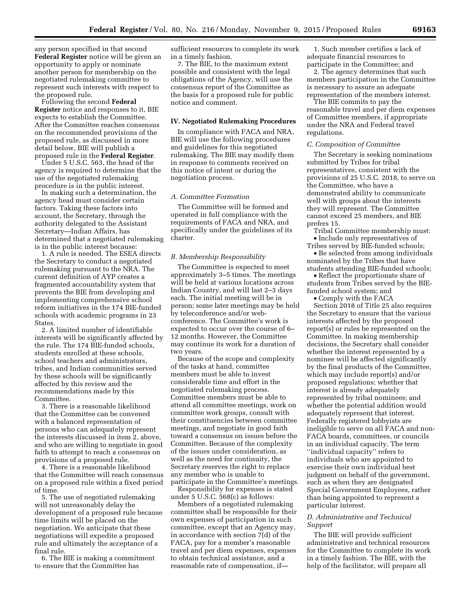any person specified in that second **Federal Register** notice will be given an opportunity to apply or nominate another person for membership on the negotiated rulemaking committee to represent such interests with respect to the proposed rule.

Following the second **Federal Register** notice and responses to it, BIE expects to establish the Committee. After the Committee reaches consensus on the recommended provisions of the proposed rule, as discussed in more detail below, BIE will publish a proposed rule in the **Federal Register**.

Under 5 U.S.C. 563, the head of the agency is required to determine that the use of the negotiated rulemaking procedure is in the public interest.

In making such a determination, the agency head must consider certain factors. Taking these factors into account, the Secretary, through the authority delegated to the Assistant Secretary—Indian Affairs, has determined that a negotiated rulemaking is in the public interest because:

1. A rule is needed. The ESEA directs the Secretary to conduct a negotiated rulemaking pursuant to the NRA. The current definition of AYP creates a fragmented accountability system that prevents the BIE from developing and implementing comprehensive school reform initiatives in the 174 BIE-funded schools with academic programs in 23 States.

2. A limited number of identifiable interests will be significantly affected by the rule. The 174 BIE-funded schools, students enrolled at these schools, school teachers and administrators, tribes, and Indian communities served by these schools will be significantly affected by this review and the recommendations made by this Committee.

3. There is a reasonable likelihood that the Committee can be convened with a balanced representation of persons who can adequately represent the interests discussed in item 2, above, and who are willing to negotiate in good faith to attempt to reach a consensus on provisions of a proposed rule.

4. There is a reasonable likelihood that the Committee will reach consensus on a proposed rule within a fixed period of time.

5. The use of negotiated rulemaking will not unreasonably delay the development of a proposed rule because time limits will be placed on the negotiation. We anticipate that these negotiations will expedite a proposed rule and ultimately the acceptance of a final rule.

6. The BIE is making a commitment to ensure that the Committee has

sufficient resources to complete its work in a timely fashion.

7. The BIE, to the maximum extent possible and consistent with the legal obligations of the Agency, will use the consensus report of the Committee as the basis for a proposed rule for public notice and comment.

## **IV. Negotiated Rulemaking Procedures**

In compliance with FACA and NRA, BIE will use the following procedures and guidelines for this negotiated rulemaking. The BIE may modify them in response to comments received on this notice of intent or during the negotiation process.

#### *A. Committee Formation*

The Committee will be formed and operated in full compliance with the requirements of FACA and NRA, and specifically under the guidelines of its charter.

#### *B. Membership Responsibility*

The Committee is expected to meet approximately 3–5 times. The meetings will be held at various locations across Indian Country, and will last 2–3 days each. The initial meeting will be in person; some later meetings may be held by teleconference and/or webconference. The Committee's work is expected to occur over the course of 6– 12 months. However, the Committee may continue its work for a duration of two years.

Because of the scope and complexity of the tasks at hand, committee members must be able to invest considerable time and effort in the negotiated rulemaking process. Committee members must be able to attend all committee meetings, work on committee work groups, consult with their constituencies between committee meetings, and negotiate in good faith toward a consensus on issues before the Committee. Because of the complexity of the issues under consideration, as well as the need for continuity, the Secretary reserves the right to replace any member who is unable to participate in the Committee's meetings.

Responsibility for expenses is stated under 5 U.S.C. 568(c) as follows:

Members of a negotiated rulemaking committee shall be responsible for their own expenses of participation in such committee, except that an Agency may, in accordance with section 7(d) of the FACA, pay for a member's reasonable travel and per diem expenses, expenses to obtain technical assistance, and a reasonable rate of compensation, if—

1. Such member certifies a lack of adequate financial resources to participate in the Committee; and

2. The agency determines that such members participation in the Committee is necessary to assure an adequate representation of the members interest.

The BIE commits to pay the reasonable travel and per diem expenses of Committee members, if appropriate under the NRA and Federal travel regulations.

### *C. Composition of Committee*

The Secretary is seeking nominations submitted by Tribes for tribal representatives, consistent with the provisions of 25 U.S.C. 2018, to serve on the Committee, who have a demonstrated ability to communicate well with groups about the interests they will represent. The Committee cannot exceed 25 members, and BIE prefers 15.

Tribal Committee membership must: • Include only representatives of Tribes served by BIE-funded schools;

• Be selected from among individuals nominated by the Tribes that have students attending BIE-funded schools;

• Reflect the proportionate share of students from Tribes served by the BIEfunded school system; and

• Comply with the FACA

Section 2018 of Title 25 also requires the Secretary to ensure that the various interests affected by the proposed report(s) or rules be represented on the Committee. In making membership decisions, the Secretary shall consider whether the interest represented by a nominee will be affected significantly by the final products of the Committee, which may include report(s) and/or proposed regulations; whether that interest is already adequately represented by tribal nominees; and whether the potential addition would adequately represent that interest. Federally registered lobbyists are ineligible to serve on all FACA and non-FACA boards, committees, or councils in an individual capacity. The term ''individual capacity'' refers to individuals who are appointed to exercise their own individual best judgment on behalf of the government, such as when they are designated Special Government Employees, rather than being appointed to represent a particular interest.

## *D. Administrative and Technical Support*

The BIE will provide sufficient administrative and technical resources for the Committee to complete its work in a timely fashion. The BIE, with the help of the facilitator, will prepare all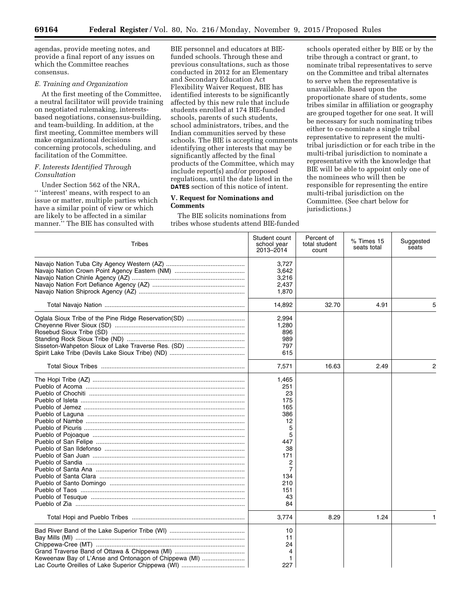agendas, provide meeting notes, and provide a final report of any issues on which the Committee reaches consensus.

## *E. Training and Organization*

At the first meeting of the Committee, a neutral facilitator will provide training on negotiated rulemaking, interestsbased negotiations, consensus-building, and team-building. In addition, at the first meeting, Committee members will make organizational decisions concerning protocols, scheduling, and facilitation of the Committee.

## *F. Interests Identified Through Consultation*

Under Section 562 of the NRA, '' 'interest' means, with respect to an issue or matter, multiple parties which have a similar point of view or which are likely to be affected in a similar manner." The BIE has consulted with

BIE personnel and educators at BIEfunded schools. Through these and previous consultations, such as those conducted in 2012 for an Elementary and Secondary Education Act Flexibility Waiver Request, BIE has identified interests to be significantly affected by this new rule that include students enrolled at 174 BIE-funded schools, parents of such students, school administrators, tribes, and the Indian communities served by these schools. The BIE is accepting comments identifying other interests that may be significantly affected by the final products of the Committee, which may include report(s) and/or proposed regulations, until the date listed in the **DATES** section of this notice of intent.

## **V. Request for Nominations and Comments**

The BIE solicits nominations from tribes whose students attend BIE-funded

schools operated either by BIE or by the tribe through a contract or grant, to nominate tribal representatives to serve on the Committee and tribal alternates to serve when the representative is unavailable. Based upon the proportionate share of students, some tribes similar in affiliation or geography are grouped together for one seat. It will be necessary for such nominating tribes either to co-nominate a single tribal representative to represent the multitribal jurisdiction or for each tribe in the multi-tribal jurisdiction to nominate a representative with the knowledge that BIE will be able to appoint only one of the nominees who will then be responsible for representing the entire multi-tribal jurisdiction on the Committee. (See chart below for jurisdictions.)

| Tribes                                                | Student count<br>school year<br>2013-2014 | Percent of<br>total student<br>count | % Times 15<br>seats total | Suggested<br>seats |
|-------------------------------------------------------|-------------------------------------------|--------------------------------------|---------------------------|--------------------|
|                                                       | 3.727                                     |                                      |                           |                    |
|                                                       |                                           |                                      |                           |                    |
|                                                       | 3,642                                     |                                      |                           |                    |
|                                                       | 3,216                                     |                                      |                           |                    |
|                                                       | 2,437                                     |                                      |                           |                    |
|                                                       | 1,870                                     |                                      |                           |                    |
|                                                       | 14,892                                    | 32.70                                | 4.91                      | 5                  |
|                                                       | 2,994                                     |                                      |                           |                    |
|                                                       | 1,280                                     |                                      |                           |                    |
|                                                       | 896                                       |                                      |                           |                    |
|                                                       | 989                                       |                                      |                           |                    |
|                                                       | 797                                       |                                      |                           |                    |
|                                                       | 615                                       |                                      |                           |                    |
|                                                       | 7,571                                     | 16.63                                | 2.49                      | 2                  |
|                                                       | 1,465                                     |                                      |                           |                    |
|                                                       | 251                                       |                                      |                           |                    |
|                                                       | 23                                        |                                      |                           |                    |
|                                                       | 175                                       |                                      |                           |                    |
|                                                       |                                           |                                      |                           |                    |
|                                                       | 165                                       |                                      |                           |                    |
|                                                       | 386                                       |                                      |                           |                    |
|                                                       | 12                                        |                                      |                           |                    |
|                                                       | 5                                         |                                      |                           |                    |
|                                                       | 5                                         |                                      |                           |                    |
|                                                       | 447                                       |                                      |                           |                    |
|                                                       | 38                                        |                                      |                           |                    |
|                                                       | 171                                       |                                      |                           |                    |
|                                                       | 2                                         |                                      |                           |                    |
|                                                       | 7                                         |                                      |                           |                    |
|                                                       | 134                                       |                                      |                           |                    |
|                                                       | 210                                       |                                      |                           |                    |
|                                                       | 151                                       |                                      |                           |                    |
|                                                       | 43                                        |                                      |                           |                    |
|                                                       | 84                                        |                                      |                           |                    |
|                                                       |                                           |                                      |                           |                    |
|                                                       | 3,774                                     | 8.29                                 | 1.24                      | 1                  |
|                                                       | 10                                        |                                      |                           |                    |
|                                                       | 11                                        |                                      |                           |                    |
|                                                       | 24                                        |                                      |                           |                    |
|                                                       | 4                                         |                                      |                           |                    |
| Keweenaw Bay of L'Anse and Ontonagon of Chippewa (MI) | 1                                         |                                      |                           |                    |
|                                                       | 227                                       |                                      |                           |                    |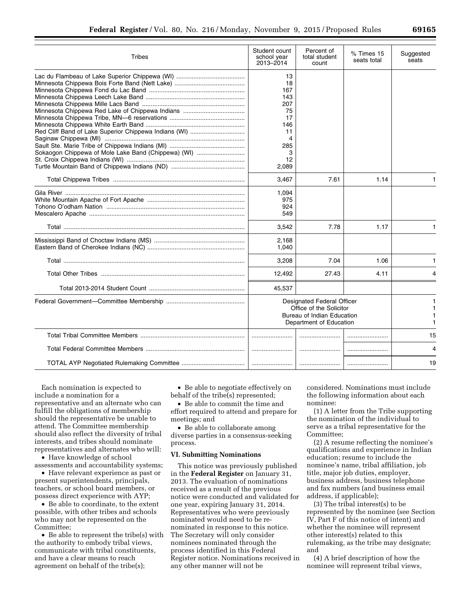| Tribes                                                                                                       | Student count<br>school year<br>2013-2014                                                                      | Percent of<br>total student<br>count | % Times 15<br>seats total | Suggested<br>seats |
|--------------------------------------------------------------------------------------------------------------|----------------------------------------------------------------------------------------------------------------|--------------------------------------|---------------------------|--------------------|
| Red Cliff Band of Lake Superior Chippewa Indians (WI)<br>Sokaogon Chippewa of Mole Lake Band (Chippewa) (WI) | 13<br>18<br>167<br>143<br>207<br>75<br>17<br>146<br>11<br>285<br>3<br>12<br>2,089                              |                                      |                           |                    |
|                                                                                                              | 3,467                                                                                                          | 7.61                                 | 1.14                      | 1                  |
|                                                                                                              | 1,094<br>975<br>924<br>549                                                                                     |                                      |                           |                    |
|                                                                                                              | 3,542                                                                                                          | 7.78                                 | 1.17                      | 1                  |
|                                                                                                              | 2,168<br>1,040                                                                                                 |                                      |                           |                    |
|                                                                                                              | 3,208                                                                                                          | 7.04                                 | 1.06                      | 1                  |
|                                                                                                              | 12,492                                                                                                         | 27.43                                | 4.11                      | 4                  |
|                                                                                                              | 45,537                                                                                                         |                                      |                           |                    |
|                                                                                                              | Designated Federal Officer<br>Office of the Solicitor<br>Bureau of Indian Education<br>Department of Education |                                      |                           | 1<br>1             |
|                                                                                                              |                                                                                                                |                                      |                           | 15                 |
|                                                                                                              |                                                                                                                |                                      |                           | 4                  |
|                                                                                                              |                                                                                                                |                                      |                           | 19                 |

Each nomination is expected to include a nomination for a representative and an alternate who can fulfill the obligations of membership should the representative be unable to attend. The Committee membership should also reflect the diversity of tribal interests, and tribes should nominate representatives and alternates who will:

• Have knowledge of school assessments and accountability systems;

• Have relevant experience as past or present superintendents, principals, teachers, or school board members, or possess direct experience with AYP;

• Be able to coordinate, to the extent possible, with other tribes and schools who may not be represented on the Committee;

• Be able to represent the tribe(s) with the authority to embody tribal views, communicate with tribal constituents, and have a clear means to reach agreement on behalf of the tribe(s);

• Be able to negotiate effectively on behalf of the tribe(s) represented;

• Be able to commit the time and effort required to attend and prepare for meetings; and

• Be able to collaborate among diverse parties in a consensus-seeking process.

## **VI. Submitting Nominations**

This notice was previously published in the **Federal Register** on January 31, 2013. The evaluation of nominations received as a result of the previous notice were conducted and validated for one year, expiring January 31, 2014. Representatives who were previously nominated would need to be renominated in response to this notice. The Secretary will only consider nominees nominated through the process identified in this Federal Register notice. Nominations received in any other manner will not be

considered. Nominations must include the following information about each nominee:

(1) A letter from the Tribe supporting the nomination of the individual to serve as a tribal representative for the Committee;

(2) A resume reflecting the nominee's qualifications and experience in Indian education; resume to include the nominee's name, tribal affiliation, job title, major job duties, employer, business address, business telephone and fax numbers (and business email address, if applicable);

(3) The tribal interest(s) to be represented by the nominee (see Section IV, Part F of this notice of intent) and whether the nominee will represent other interest(s) related to this rulemaking, as the tribe may designate; and

(4) A brief description of how the nominee will represent tribal views,